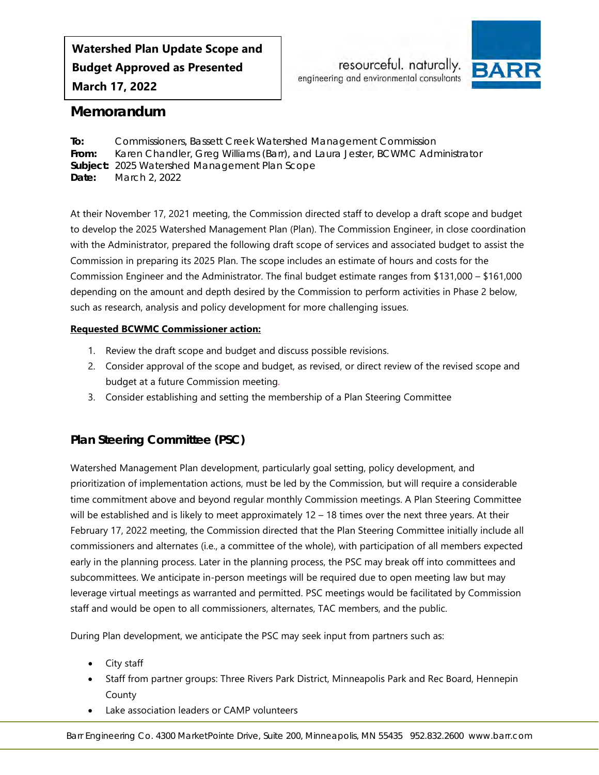**Watershed Plan Update Scope and Budget Approved as Presented March 17, 2022**

resourceful. naturally. engineering and environmental consultants



# <span id="page-0-0"></span>**Memorandum**

<span id="page-0-3"></span><span id="page-0-2"></span><span id="page-0-1"></span>**To:** Commissioners, Bassett Creek Watershed Management Commission **From:** Karen Chandler, Greg Williams (Barr), and Laura Jester, BCWMC Administrator **Subject:** 2025 Watershed Management Plan Scope **Date:** March 2, 2022

At their November 17, 2021 meeting, the Commission directed staff to develop a draft scope and budget to develop the 2025 Watershed Management Plan (Plan). The Commission Engineer, in close coordination with the Administrator, prepared the following draft scope of services and associated budget to assist the Commission in preparing its 2025 Plan. The scope includes an estimate of hours and costs for the Commission Engineer and the Administrator. The final budget estimate ranges from \$131,000 – \$161,000 depending on the amount and depth desired by the Commission to perform activities in Phase 2 below, such as research, analysis and policy development for more challenging issues.

### **Requested BCWMC Commissioner action:**

- 1. Review the draft scope and budget and discuss possible revisions.
- 2. Consider approval of the scope and budget, as revised, or direct review of the revised scope and budget at a future Commission meeting.
- 3. Consider establishing and setting the membership of a Plan Steering Committee

# **Plan Steering Committee (PSC)**

Watershed Management Plan development, particularly goal setting, policy development, and prioritization of implementation actions, must be led by the Commission, but will require a considerable time commitment above and beyond regular monthly Commission meetings. A Plan Steering Committee will be established and is likely to meet approximately  $12 - 18$  times over the next three years. At their February 17, 2022 meeting, the Commission directed that the Plan Steering Committee initially include all commissioners and alternates (i.e., a committee of the whole), with participation of all members expected early in the planning process. Later in the planning process, the PSC may break off into committees and subcommittees. We anticipate in-person meetings will be required due to open meeting law but may leverage virtual meetings as warranted and permitted. PSC meetings would be facilitated by Commission staff and would be open to all commissioners, alternates, TAC members, and the public.

During Plan development, we anticipate the PSC may seek input from partners such as:

- City staff
- Staff from partner groups: Three Rivers Park District, Minneapolis Park and Rec Board, Hennepin County
- Lake association leaders or CAMP volunteers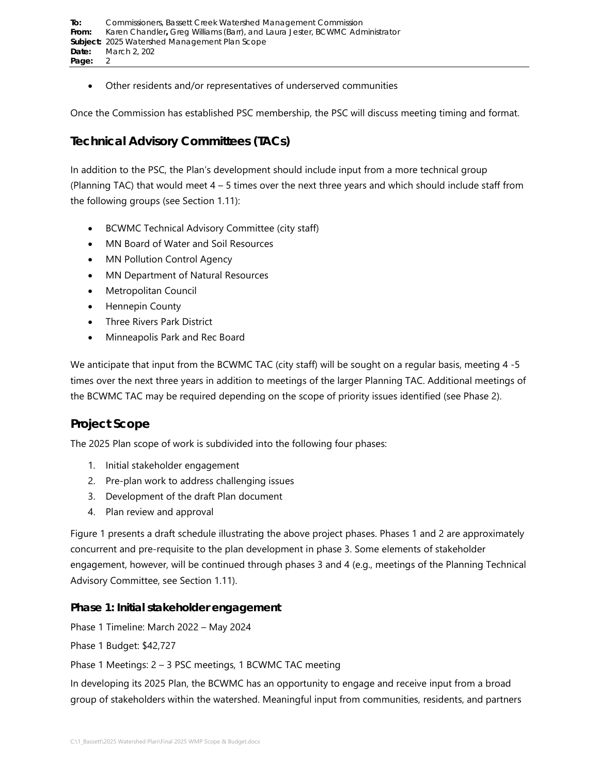• Other residents and/or representatives of underserved communities

Once the Commission has established PSC membership, the PSC will discuss meeting timing and format.

# **Technical Advisory Committees (TACs)**

In addition to the PSC, the Plan's development should include input from a more technical group (Planning TAC) that would meet  $4 - 5$  times over the next three years and which should include staff from the following groups (see Section [1.11\)](#page-7-0):

- BCWMC Technical Advisory Committee (city staff)
- MN Board of Water and Soil Resources
- MN Pollution Control Agency
- MN Department of Natural Resources
- Metropolitan Council
- Hennepin County
- Three Rivers Park District
- Minneapolis Park and Rec Board

We anticipate that input from the BCWMC TAC (city staff) will be sought on a regular basis, meeting 4 -5 times over the next three years in addition to meetings of the larger Planning TAC. Additional meetings of the BCWMC TAC may be required depending on the scope of priority issues identified (see Phase 2).

# **Project Scope**

The 2025 Plan scope of work is subdivided into the following four phases:

- 1. Initial stakeholder engagement
- 2. Pre-plan work to address challenging issues
- 3. Development of the draft Plan document
- 4. Plan review and approval

[Figure 1](#page-2-0) presents a draft schedule illustrating the above project phases. Phases 1 and 2 are approximately concurrent and pre-requisite to the plan development in phase 3. Some elements of stakeholder engagement, however, will be continued through phases 3 and 4 (e.g., meetings of the Planning Technical Advisory Committee, see Section [1.11\)](#page-7-0).

## **Phase 1: Initial stakeholder engagement**

Phase 1 Timeline: March 2022 – May 2024

Phase 1 Budget: \$42,727

Phase 1 Meetings: 2 – 3 PSC meetings, 1 BCWMC TAC meeting

In developing its 2025 Plan, the BCWMC has an opportunity to engage and receive input from a broad group of stakeholders within the watershed. Meaningful input from communities, residents, and partners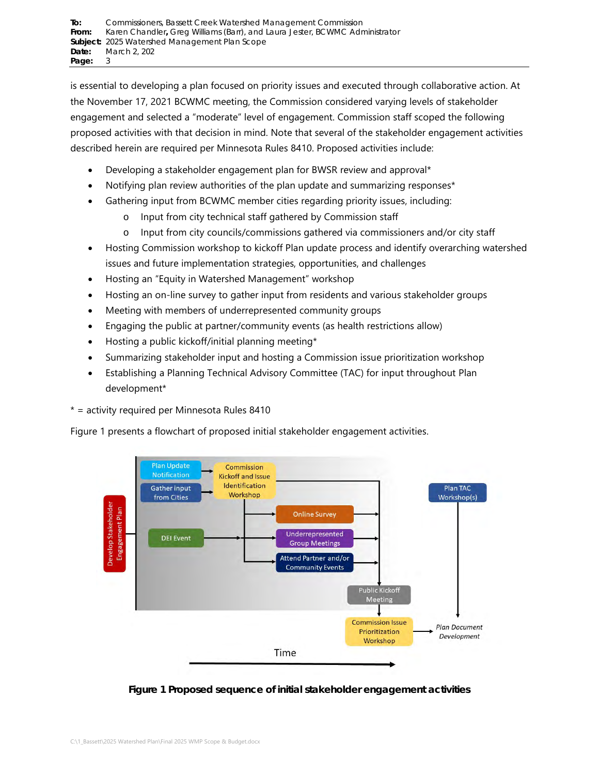is essential to developing a plan focused on priority issues and executed through collaborative action. At the November 17, 2021 BCWMC meeting, the Commission considered varying levels of stakeholder engagement and selected a "moderate" level of engagement. Commission staff scoped the following proposed activities with that decision in mind. Note that several of the stakeholder engagement activities described herein are required per Minnesota Rules 8410. Proposed activities include:

- Developing a stakeholder engagement plan for BWSR review and approval\*
- Notifying plan review authorities of the plan update and summarizing responses\*
- Gathering input from BCWMC member cities regarding priority issues, including:
	- o Input from city technical staff gathered by Commission staff
	- o Input from city councils/commissions gathered via commissioners and/or city staff
- Hosting Commission workshop to kickoff Plan update process and identify overarching watershed issues and future implementation strategies, opportunities, and challenges
- Hosting an "Equity in Watershed Management" workshop
- Hosting an on-line survey to gather input from residents and various stakeholder groups
- Meeting with members of underrepresented community groups
- Engaging the public at partner/community events (as health restrictions allow)
- Hosting a public kickoff/initial planning meeting\*
- Summarizing stakeholder input and hosting a Commission issue prioritization workshop
- Establishing a Planning Technical Advisory Committee (TAC) for input throughout Plan development\*

\* = activity required per Minnesota Rules 8410

[Figure 1](#page-2-0) presents a flowchart of proposed initial stakeholder engagement activities.



<span id="page-2-0"></span>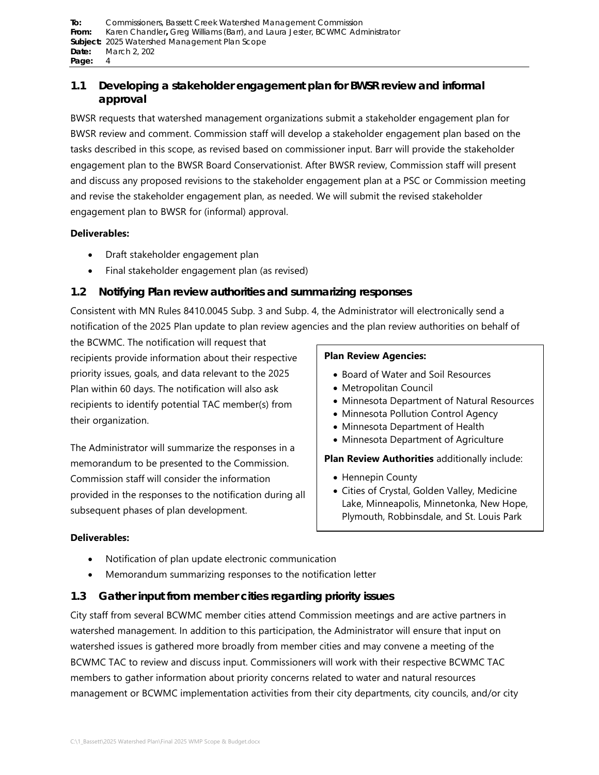# <span id="page-3-2"></span>**1.1 Developing a stakeholder engagement plan for BWSR review and informal approval**

BWSR requests that watershed management organizations submit a stakeholder engagement plan for BWSR review and comment. Commission staff will develop a stakeholder engagement plan based on the tasks described in this scope, as revised based on commissioner input. Barr will provide the stakeholder engagement plan to the BWSR Board Conservationist. After BWSR review, Commission staff will present and discuss any proposed revisions to the stakeholder engagement plan at a PSC or Commission meeting and revise the stakeholder engagement plan, as needed. We will submit the revised stakeholder engagement plan to BWSR for (informal) approval.

### **Deliverables:**

- Draft stakeholder engagement plan
- Final stakeholder engagement plan (as revised)

# <span id="page-3-0"></span>**1.2 Notifying Plan review authorities and summarizing responses**

Consistent with MN Rules 8410.0045 Subp. 3 and Subp. 4, the Administrator will electronically send a notification of the 2025 Plan update to plan review agencies and the plan review authorities on behalf of

the BCWMC. The notification will request that recipients provide information about their respective priority issues, goals, and data relevant to the 2025 Plan within 60 days. The notification will also ask recipients to identify potential TAC member(s) from their organization.

The Administrator will summarize the responses in a memorandum to be presented to the Commission. Commission staff will consider the information provided in the responses to the notification during all subsequent phases of plan development.

### **Plan Review Agencies:**

- Board of Water and Soil Resources
- Metropolitan Council
- Minnesota Department of Natural Resources
- Minnesota Pollution Control Agency
- Minnesota Department of Health
- Minnesota Department of Agriculture

**Plan Review Authorities** additionally include:

- Hennepin County
- Cities of Crystal, Golden Valley, Medicine Lake, Minneapolis, Minnetonka, New Hope, Plymouth, Robbinsdale, and St. Louis Park

### **Deliverables:**

- Notification of plan update electronic communication
- Memorandum summarizing responses to the notification letter

## <span id="page-3-1"></span>**1.3 Gather input from member cities regarding priority issues**

City staff from several BCWMC member cities attend Commission meetings and are active partners in watershed management. In addition to this participation, the Administrator will ensure that input on watershed issues is gathered more broadly from member cities and may convene a meeting of the BCWMC TAC to review and discuss input. Commissioners will work with their respective BCWMC TAC members to gather information about priority concerns related to water and natural resources management or BCWMC implementation activities from their city departments, city councils, and/or city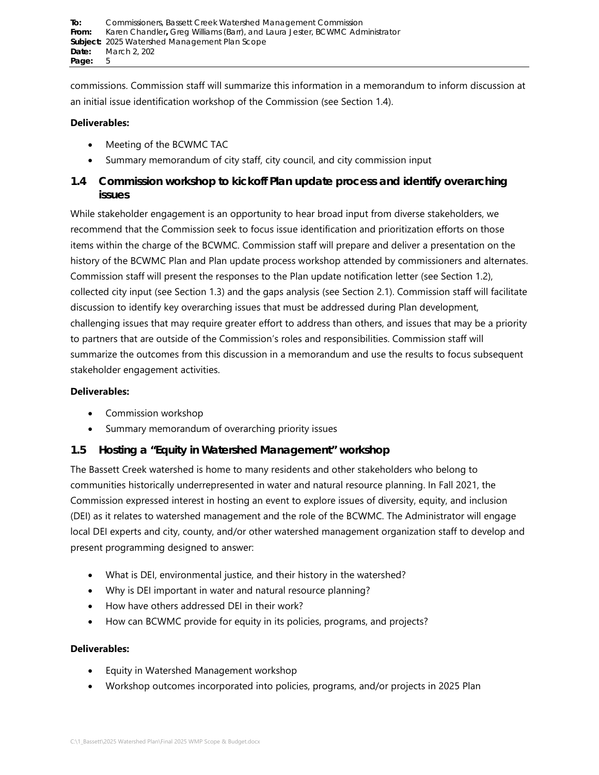commissions. Commission staff will summarize this information in a memorandum to inform discussion at an initial issue identification workshop of the Commission (see Section 1.4).

### **Deliverables:**

- Meeting of the BCWMC TAC
- Summary memorandum of city staff, city council, and city commission input

# <span id="page-4-0"></span>**1.4 Commission workshop to kickoff Plan update process and identify overarching issues**

While stakeholder engagement is an opportunity to hear broad input from diverse stakeholders, we recommend that the Commission seek to focus issue identification and prioritization efforts on those items within the charge of the BCWMC. Commission staff will prepare and deliver a presentation on the history of the BCWMC Plan and Plan update process workshop attended by commissioners and alternates. Commission staff will present the responses to the Plan update notification letter (see Section [1.2\)](#page-3-0), collected city input (see Section [1.3\)](#page-3-1) and the gaps analysis (see Section [2.1\)](#page-8-0). Commission staff will facilitate discussion to identify key overarching issues that must be addressed during Plan development, challenging issues that may require greater effort to address than others, and issues that may be a priority to partners that are outside of the Commission's roles and responsibilities. Commission staff will summarize the outcomes from this discussion in a memorandum and use the results to focus subsequent stakeholder engagement activities.

### **Deliverables:**

- Commission workshop
- Summary memorandum of overarching priority issues

## **1.5 Hosting a "Equity in Watershed Management" workshop**

The Bassett Creek watershed is home to many residents and other stakeholders who belong to communities historically underrepresented in water and natural resource planning. In Fall 2021, the Commission expressed interest in hosting an event to explore issues of diversity, equity, and inclusion (DEI) as it relates to watershed management and the role of the BCWMC. The Administrator will engage local DEI experts and city, county, and/or other watershed management organization staff to develop and present programming designed to answer:

- What is DEI, environmental justice, and their history in the watershed?
- Why is DEI important in water and natural resource planning?
- How have others addressed DEI in their work?
- How can BCWMC provide for equity in its policies, programs, and projects?

- Equity in Watershed Management workshop
- Workshop outcomes incorporated into policies, programs, and/or projects in 2025 Plan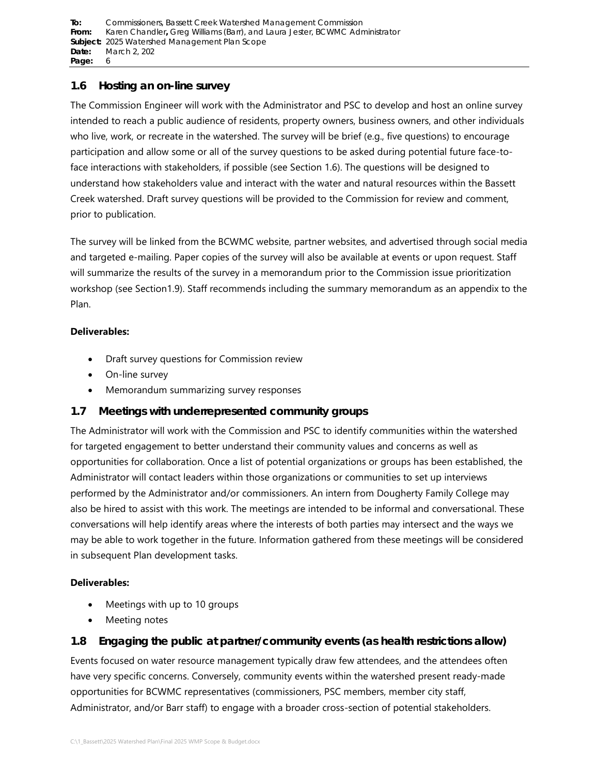**To:** [Commissioners, Bassett Creek Watershed Management](#page-0-0) Commission **From:** Karen Chandler**,** [Greg Williams \(Barr\), and Laura Jester, BCWMC Administrator](#page-0-1) **Subject:** [2025 Watershed Management Plan Scope](#page-0-2)  **Date:** [March 2, 202](#page-0-3) Page: 6

## <span id="page-5-1"></span>**1.6 Hosting an on-line survey**

The Commission Engineer will work with the Administrator and PSC to develop and host an online survey intended to reach a public audience of residents, property owners, business owners, and other individuals who live, work, or recreate in the watershed. The survey will be brief (e.g., five questions) to encourage participation and allow some or all of the survey questions to be asked during potential future face-toface interactions with stakeholders, if possible (see Section [1.6\)](#page-5-0). The questions will be designed to understand how stakeholders value and interact with the water and natural resources within the Bassett Creek watershed. Draft survey questions will be provided to the Commission for review and comment, prior to publication.

The survey will be linked from the BCWMC website, partner websites, and advertised through social media and targeted e-mailing. Paper copies of the survey will also be available at events or upon request. Staff will summarize the results of the survey in a memorandum prior to the Commission issue prioritization workshop (see Sectio[n1.9\)](#page-6-0). Staff recommends including the summary memorandum as an appendix to the Plan.

### **Deliverables:**

- Draft survey questions for Commission review
- On-line survey
- Memorandum summarizing survey responses

# **1.7 Meetings with underrepresented community groups**

The Administrator will work with the Commission and PSC to identify communities within the watershed for targeted engagement to better understand their community values and concerns as well as opportunities for collaboration. Once a list of potential organizations or groups has been established, the Administrator will contact leaders within those organizations or communities to set up interviews performed by the Administrator and/or commissioners. An intern from Dougherty Family College may also be hired to assist with this work. The meetings are intended to be informal and conversational. These conversations will help identify areas where the interests of both parties may intersect and the ways we may be able to work together in the future. Information gathered from these meetings will be considered in subsequent Plan development tasks.

## **Deliverables:**

- Meetings with up to 10 groups
- Meeting notes

# <span id="page-5-0"></span>**1.8 Engaging the public at partner/community events (as health restrictions allow)**

Events focused on water resource management typically draw few attendees, and the attendees often have very specific concerns. Conversely, community events within the watershed present ready-made opportunities for BCWMC representatives (commissioners, PSC members, member city staff, Administrator, and/or Barr staff) to engage with a broader cross-section of potential stakeholders.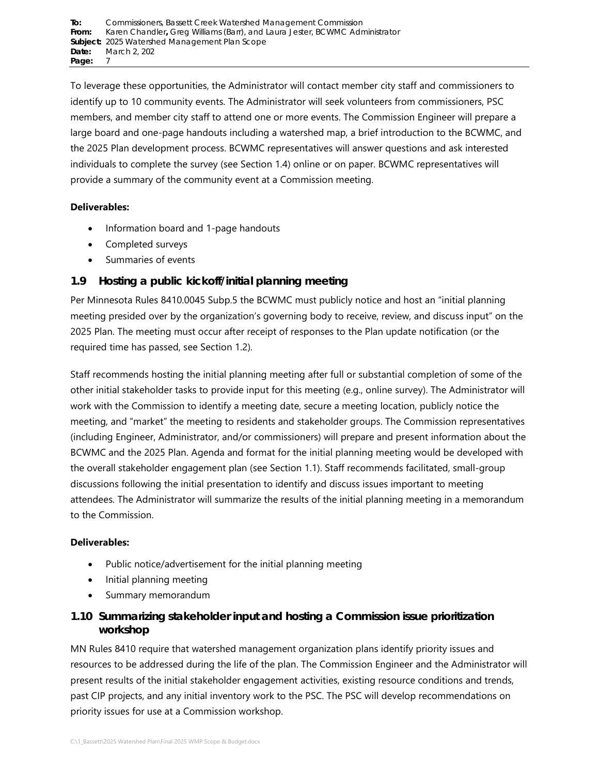To leverage these opportunities, the Administrator will contact member city staff and commissioners to identify up to 10 community events. The Administrator will seek volunteers from commissioners, PSC members, and member city staff to attend one or more events. The Commission Engineer will prepare a large board and one-page handouts including a watershed map, a brief introduction to the BCWMC, and the 2025 Plan development process. BCWMC representatives will answer questions and ask interested individuals to complete the survey (see Section [1.4\)](#page-5-1) online or on paper. BCWMC representatives will provide a summary of the community event at a Commission meeting.

## **Deliverables:**

- Information board and 1-page handouts
- Completed surveys
- Summaries of events

# **1.9 Hosting a public kickoff/initial planning meeting**

Per Minnesota Rules 8410.0045 Subp.5 the BCWMC must publicly notice and host an "initial planning meeting presided over by the organization's governing body to receive, review, and discuss input" on the 2025 Plan. The meeting must occur after receipt of responses to the Plan update notification (or the required time has passed, see Section [1.2\)](#page-3-0).

Staff recommends hosting the initial planning meeting after full or substantial completion of some of the other initial stakeholder tasks to provide input for this meeting (e.g., online survey). The Administrator will work with the Commission to identify a meeting date, secure a meeting location, publicly notice the meeting, and "market" the meeting to residents and stakeholder groups. The Commission representatives (including Engineer, Administrator, and/or commissioners) will prepare and present information about the BCWMC and the 2025 Plan. Agenda and format for the initial planning meeting would be developed with the overall stakeholder engagement plan (see Section [1.1\)](#page-3-2). Staff recommends facilitated, small-group discussions following the initial presentation to identify and discuss issues important to meeting attendees. The Administrator will summarize the results of the initial planning meeting in a memorandum to the Commission.

### **Deliverables:**

- Public notice/advertisement for the initial planning meeting
- Initial planning meeting
- Summary memorandum

# <span id="page-6-0"></span>**1.10 Summarizing stakeholder input and hosting a Commission issue prioritization workshop**

MN Rules 8410 require that watershed management organization plans identify priority issues and resources to be addressed during the life of the plan. The Commission Engineer and the Administrator will present results of the initial stakeholder engagement activities, existing resource conditions and trends, past CIP projects, and any initial inventory work to the PSC. The PSC will develop recommendations on priority issues for use at a Commission workshop.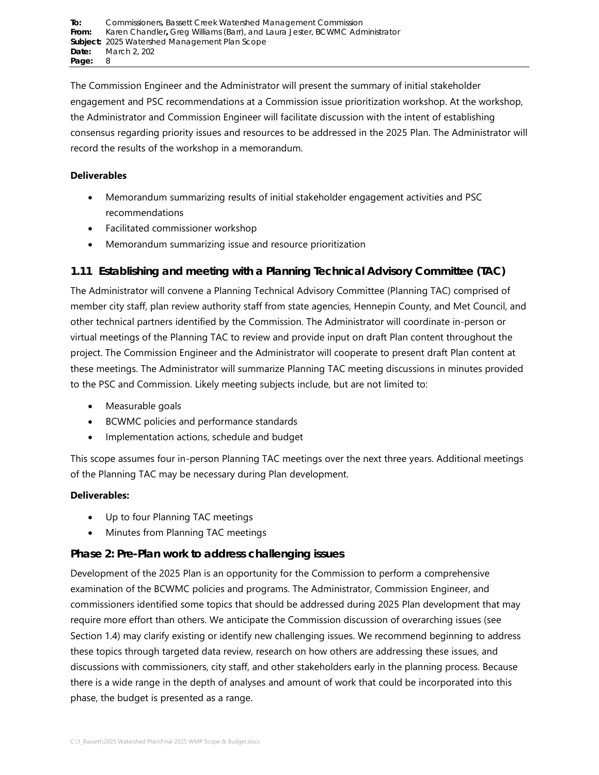The Commission Engineer and the Administrator will present the summary of initial stakeholder engagement and PSC recommendations at a Commission issue prioritization workshop. At the workshop, the Administrator and Commission Engineer will facilitate discussion with the intent of establishing consensus regarding priority issues and resources to be addressed in the 2025 Plan. The Administrator will record the results of the workshop in a memorandum.

### **Deliverables**

- Memorandum summarizing results of initial stakeholder engagement activities and PSC recommendations
- Facilitated commissioner workshop
- Memorandum summarizing issue and resource prioritization

# <span id="page-7-0"></span>**1.11 Establishing and meeting with a Planning Technical Advisory Committee (TAC)**

The Administrator will convene a Planning Technical Advisory Committee (Planning TAC) comprised of member city staff, plan review authority staff from state agencies, Hennepin County, and Met Council, and other technical partners identified by the Commission. The Administrator will coordinate in-person or virtual meetings of the Planning TAC to review and provide input on draft Plan content throughout the project. The Commission Engineer and the Administrator will cooperate to present draft Plan content at these meetings. The Administrator will summarize Planning TAC meeting discussions in minutes provided to the PSC and Commission. Likely meeting subjects include, but are not limited to:

- Measurable goals
- BCWMC policies and performance standards
- Implementation actions, schedule and budget

This scope assumes four in-person Planning TAC meetings over the next three years. Additional meetings of the Planning TAC may be necessary during Plan development.

## **Deliverables:**

- Up to four Planning TAC meetings
- Minutes from Planning TAC meetings

# **Phase 2: Pre-Plan work to address challenging issues**

Development of the 2025 Plan is an opportunity for the Commission to perform a comprehensive examination of the BCWMC policies and programs. The Administrator, Commission Engineer, and commissioners identified some topics that should be addressed during 2025 Plan development that may require more effort than others. We anticipate the Commission discussion of overarching issues (see Section [1.4\)](#page-4-0) may clarify existing or identify new challenging issues. We recommend beginning to address these topics through targeted data review, research on how others are addressing these issues, and discussions with commissioners, city staff, and other stakeholders early in the planning process. Because there is a wide range in the depth of analyses and amount of work that could be incorporated into this phase, the budget is presented as a range.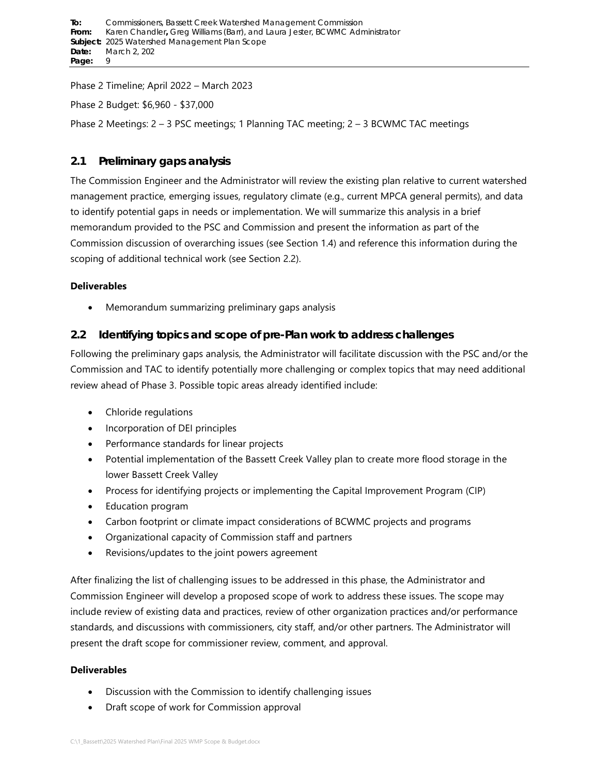Phase 2 Timeline; April 2022 – March 2023

Phase 2 Budget: \$6,960 - \$37,000

Phase 2 Meetings: 2 – 3 PSC meetings; 1 Planning TAC meeting; 2 – 3 BCWMC TAC meetings

# <span id="page-8-0"></span>**2.1 Preliminary gaps analysis**

The Commission Engineer and the Administrator will review the existing plan relative to current watershed management practice, emerging issues, regulatory climate (e.g., current MPCA general permits), and data to identify potential gaps in needs or implementation. We will summarize this analysis in a brief memorandum provided to the PSC and Commission and present the information as part of the Commission discussion of overarching issues (see Section [1.4\)](#page-4-0) and reference this information during the scoping of additional technical work (see Section [2.2\)](#page-8-1).

## **Deliverables**

• Memorandum summarizing preliminary gaps analysis

# <span id="page-8-1"></span>**2.2 Identifying topics and scope of pre-Plan work to address challenges**

Following the preliminary gaps analysis, the Administrator will facilitate discussion with the PSC and/or the Commission and TAC to identify potentially more challenging or complex topics that may need additional review ahead of Phase 3. Possible topic areas already identified include:

- Chloride regulations
- Incorporation of DEI principles
- Performance standards for linear projects
- Potential implementation of the Bassett Creek Valley plan to create more flood storage in the lower Bassett Creek Valley
- Process for identifying projects or implementing the Capital Improvement Program (CIP)
- Education program
- Carbon footprint or climate impact considerations of BCWMC projects and programs
- Organizational capacity of Commission staff and partners
- Revisions/updates to the joint powers agreement

After finalizing the list of challenging issues to be addressed in this phase, the Administrator and Commission Engineer will develop a proposed scope of work to address these issues. The scope may include review of existing data and practices, review of other organization practices and/or performance standards, and discussions with commissioners, city staff, and/or other partners. The Administrator will present the draft scope for commissioner review, comment, and approval.

- Discussion with the Commission to identify challenging issues
- Draft scope of work for Commission approval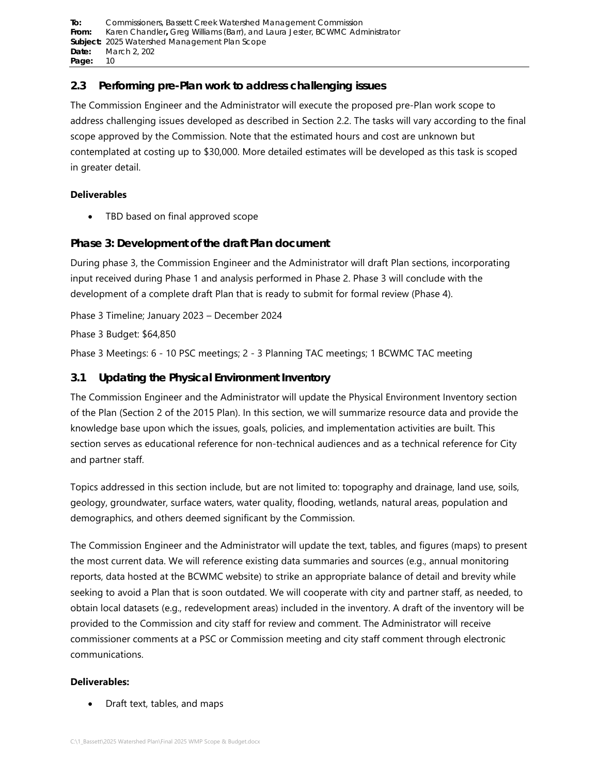**To:** [Commissioners, Bassett Creek Watershed Management](#page-0-0) Commission **From:** Karen Chandler**,** [Greg Williams \(Barr\), and Laura Jester, BCWMC Administrator](#page-0-1) **Subject:** [2025 Watershed Management Plan Scope](#page-0-2)  **Date:** [March 2, 202](#page-0-3) **Page:** 10

# **2.3 Performing pre-Plan work to address challenging issues**

The Commission Engineer and the Administrator will execute the proposed pre-Plan work scope to address challenging issues developed as described in Section [2.2.](#page-8-1) The tasks will vary according to the final scope approved by the Commission. Note that the estimated hours and cost are unknown but contemplated at costing up to \$30,000. More detailed estimates will be developed as this task is scoped in greater detail.

### **Deliverables**

• TBD based on final approved scope

## **Phase 3: Development of the draft Plan document**

During phase 3, the Commission Engineer and the Administrator will draft Plan sections, incorporating input received during Phase 1 and analysis performed in Phase 2. Phase 3 will conclude with the development of a complete draft Plan that is ready to submit for formal review (Phase 4).

Phase 3 Timeline; January 2023 – December 2024

Phase 3 Budget: \$64,850

Phase 3 Meetings: 6 - 10 PSC meetings; 2 - 3 Planning TAC meetings; 1 BCWMC TAC meeting

# **3.1 Updating the Physical Environment Inventory**

The Commission Engineer and the Administrator will update the Physical Environment Inventory section of the Plan (Section 2 of the 2015 Plan). In this section, we will summarize resource data and provide the knowledge base upon which the issues, goals, policies, and implementation activities are built. This section serves as educational reference for non-technical audiences and as a technical reference for City and partner staff.

Topics addressed in this section include, but are not limited to: topography and drainage, land use, soils, geology, groundwater, surface waters, water quality, flooding, wetlands, natural areas, population and demographics, and others deemed significant by the Commission.

The Commission Engineer and the Administrator will update the text, tables, and figures (maps) to present the most current data. We will reference existing data summaries and sources (e.g., annual monitoring reports, data hosted at the BCWMC website) to strike an appropriate balance of detail and brevity while seeking to avoid a Plan that is soon outdated. We will cooperate with city and partner staff, as needed, to obtain local datasets (e.g., redevelopment areas) included in the inventory. A draft of the inventory will be provided to the Commission and city staff for review and comment. The Administrator will receive commissioner comments at a PSC or Commission meeting and city staff comment through electronic communications.

### **Deliverables:**

• Draft text, tables, and maps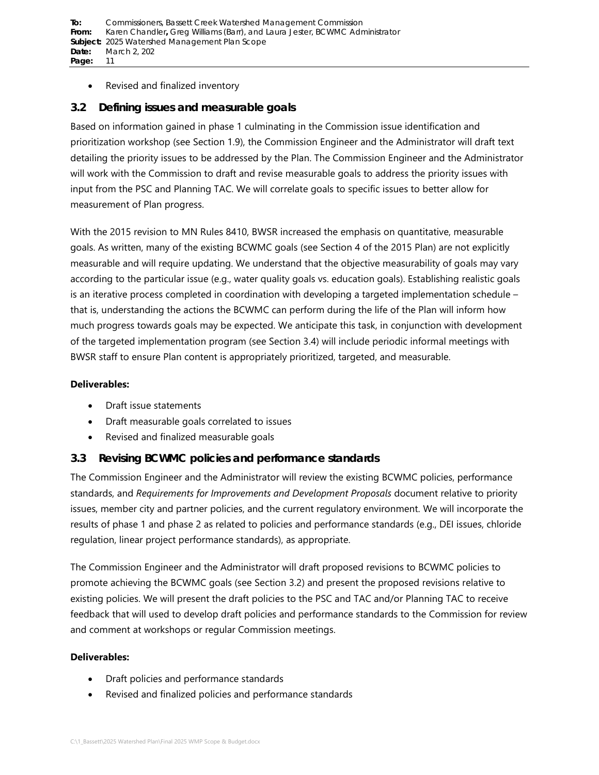### • Revised and finalized inventory

# <span id="page-10-0"></span>**3.2 Defining issues and measurable goals**

Based on information gained in phase 1 culminating in the Commission issue identification and prioritization workshop (see Section [1.9\)](#page-6-0), the Commission Engineer and the Administrator will draft text detailing the priority issues to be addressed by the Plan. The Commission Engineer and the Administrator will work with the Commission to draft and revise measurable goals to address the priority issues with input from the PSC and Planning TAC. We will correlate goals to specific issues to better allow for measurement of Plan progress.

With the 2015 revision to MN Rules 8410, BWSR increased the emphasis on quantitative, measurable goals. As written, many of the existing BCWMC goals (see Section 4 of the 2015 Plan) are not explicitly measurable and will require updating. We understand that the objective measurability of goals may vary according to the particular issue (e.g., water quality goals vs. education goals). Establishing realistic goals is an iterative process completed in coordination with developing a targeted implementation schedule – that is, understanding the actions the BCWMC can perform during the life of the Plan will inform how much progress towards goals may be expected. We anticipate this task, in conjunction with development of the targeted implementation program (see Section [3.4\)](#page-11-0) will include periodic informal meetings with BWSR staff to ensure Plan content is appropriately prioritized, targeted, and measurable.

### **Deliverables:**

- Draft issue statements
- Draft measurable goals correlated to issues
- Revised and finalized measurable goals

## **3.3 Revising BCWMC policies and performance standards**

The Commission Engineer and the Administrator will review the existing BCWMC policies, performance standards, and *Requirements for Improvements and Development Proposals* document relative to priority issues, member city and partner policies, and the current regulatory environment. We will incorporate the results of phase 1 and phase 2 as related to policies and performance standards (e.g., DEI issues, chloride regulation, linear project performance standards), as appropriate.

The Commission Engineer and the Administrator will draft proposed revisions to BCWMC policies to promote achieving the BCWMC goals (see Section [3.2\)](#page-10-0) and present the proposed revisions relative to existing policies. We will present the draft policies to the PSC and TAC and/or Planning TAC to receive feedback that will used to develop draft policies and performance standards to the Commission for review and comment at workshops or regular Commission meetings.

- Draft policies and performance standards
- Revised and finalized policies and performance standards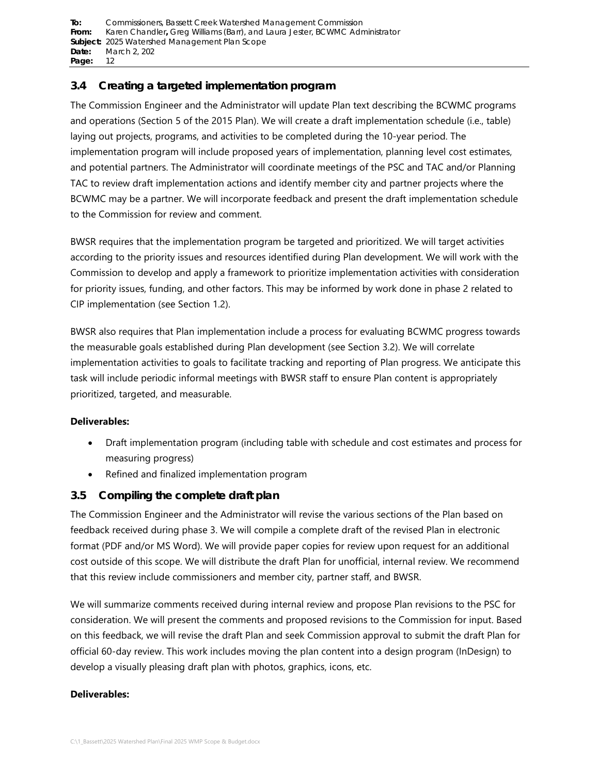**To:** [Commissioners, Bassett Creek Watershed Management](#page-0-0) Commission **From:** Karen Chandler**,** [Greg Williams \(Barr\), and Laura Jester, BCWMC Administrator](#page-0-1) **Subject:** [2025 Watershed Management Plan Scope](#page-0-2)  **Date:** [March 2, 202](#page-0-3) **Page:** 12

## <span id="page-11-0"></span>**3.4 Creating a targeted implementation program**

The Commission Engineer and the Administrator will update Plan text describing the BCWMC programs and operations (Section 5 of the 2015 Plan). We will create a draft implementation schedule (i.e., table) laying out projects, programs, and activities to be completed during the 10-year period. The implementation program will include proposed years of implementation, planning level cost estimates, and potential partners. The Administrator will coordinate meetings of the PSC and TAC and/or Planning TAC to review draft implementation actions and identify member city and partner projects where the BCWMC may be a partner. We will incorporate feedback and present the draft implementation schedule to the Commission for review and comment.

BWSR requires that the implementation program be targeted and prioritized. We will target activities according to the priority issues and resources identified during Plan development. We will work with the Commission to develop and apply a framework to prioritize implementation activities with consideration for priority issues, funding, and other factors. This may be informed by work done in phase 2 related to CIP implementation (see Section [1.2\)](#page-7-0).

BWSR also requires that Plan implementation include a process for evaluating BCWMC progress towards the measurable goals established during Plan development (see Section [3.2\)](#page-10-0). We will correlate implementation activities to goals to facilitate tracking and reporting of Plan progress. We anticipate this task will include periodic informal meetings with BWSR staff to ensure Plan content is appropriately prioritized, targeted, and measurable.

### **Deliverables:**

- Draft implementation program (including table with schedule and cost estimates and process for measuring progress)
- Refined and finalized implementation program

## **3.5 Compiling the complete draft plan**

The Commission Engineer and the Administrator will revise the various sections of the Plan based on feedback received during phase 3. We will compile a complete draft of the revised Plan in electronic format (PDF and/or MS Word). We will provide paper copies for review upon request for an additional cost outside of this scope. We will distribute the draft Plan for unofficial, internal review. We recommend that this review include commissioners and member city, partner staff, and BWSR.

We will summarize comments received during internal review and propose Plan revisions to the PSC for consideration. We will present the comments and proposed revisions to the Commission for input. Based on this feedback, we will revise the draft Plan and seek Commission approval to submit the draft Plan for official 60-day review. This work includes moving the plan content into a design program (InDesign) to develop a visually pleasing draft plan with photos, graphics, icons, etc.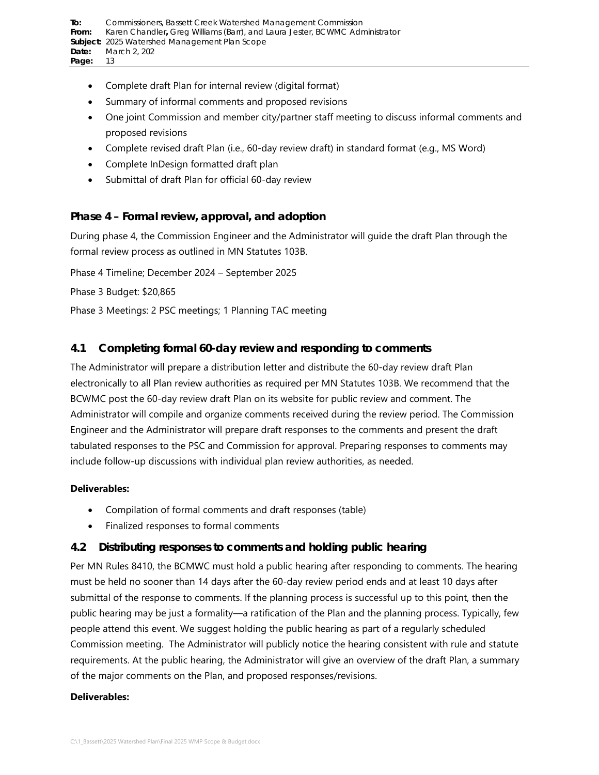- Complete draft Plan for internal review (digital format)
- Summary of informal comments and proposed revisions
- One joint Commission and member city/partner staff meeting to discuss informal comments and proposed revisions
- Complete revised draft Plan (i.e., 60-day review draft) in standard format (e.g., MS Word)
- Complete InDesign formatted draft plan
- Submittal of draft Plan for official 60-day review

## **Phase 4 – Formal review, approval, and adoption**

During phase 4, the Commission Engineer and the Administrator will guide the draft Plan through the formal review process as outlined in MN Statutes 103B.

Phase 4 Timeline; December 2024 – September 2025

Phase 3 Budget: \$20,865

Phase 3 Meetings: 2 PSC meetings; 1 Planning TAC meeting

## <span id="page-12-0"></span>**4.1 Completing formal 60-day review and responding to comments**

The Administrator will prepare a distribution letter and distribute the 60-day review draft Plan electronically to all Plan review authorities as required per MN Statutes 103B. We recommend that the BCWMC post the 60-day review draft Plan on its website for public review and comment. The Administrator will compile and organize comments received during the review period. The Commission Engineer and the Administrator will prepare draft responses to the comments and present the draft tabulated responses to the PSC and Commission for approval. Preparing responses to comments may include follow-up discussions with individual plan review authorities, as needed.

### **Deliverables:**

- Compilation of formal comments and draft responses (table)
- Finalized responses to formal comments

## <span id="page-12-1"></span>**4.2 Distributing responses to comments and holding public hearing**

Per MN Rules 8410, the BCMWC must hold a public hearing after responding to comments. The hearing must be held no sooner than 14 days after the 60-day review period ends and at least 10 days after submittal of the response to comments. If the planning process is successful up to this point, then the public hearing may be just a formality—a ratification of the Plan and the planning process. Typically, few people attend this event. We suggest holding the public hearing as part of a regularly scheduled Commission meeting. The Administrator will publicly notice the hearing consistent with rule and statute requirements. At the public hearing, the Administrator will give an overview of the draft Plan, a summary of the major comments on the Plan, and proposed responses/revisions.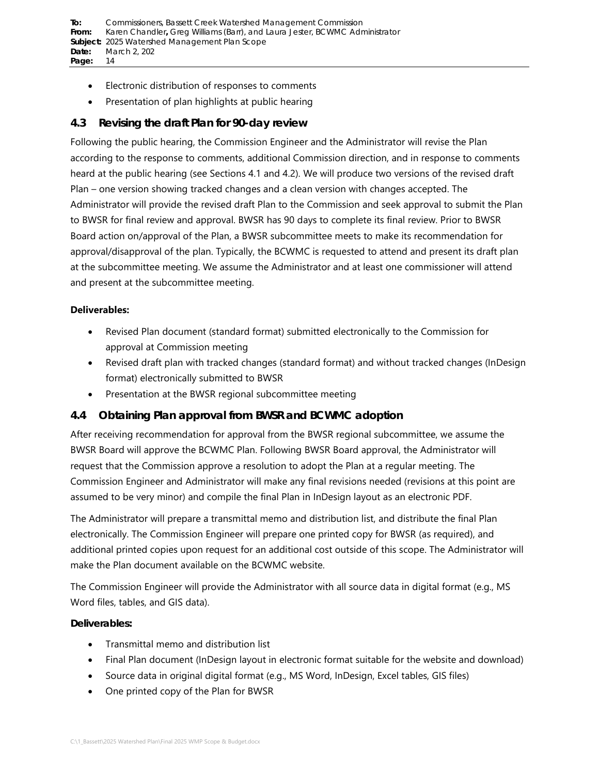- Electronic distribution of responses to comments
- Presentation of plan highlights at public hearing

## **4.3 Revising the draft Plan for 90-day review**

Following the public hearing, the Commission Engineer and the Administrator will revise the Plan according to the response to comments, additional Commission direction, and in response to comments heard at the public hearing (see Sections [4.1](#page-12-0) and [4.2\)](#page-12-1). We will produce two versions of the revised draft Plan – one version showing tracked changes and a clean version with changes accepted. The Administrator will provide the revised draft Plan to the Commission and seek approval to submit the Plan to BWSR for final review and approval. BWSR has 90 days to complete its final review. Prior to BWSR Board action on/approval of the Plan, a BWSR subcommittee meets to make its recommendation for approval/disapproval of the plan. Typically, the BCWMC is requested to attend and present its draft plan at the subcommittee meeting. We assume the Administrator and at least one commissioner will attend and present at the subcommittee meeting.

### **Deliverables:**

- Revised Plan document (standard format) submitted electronically to the Commission for approval at Commission meeting
- Revised draft plan with tracked changes (standard format) and without tracked changes (InDesign format) electronically submitted to BWSR
- Presentation at the BWSR regional subcommittee meeting

## **4.4 Obtaining Plan approval from BWSR and BCWMC adoption**

After receiving recommendation for approval from the BWSR regional subcommittee, we assume the BWSR Board will approve the BCWMC Plan. Following BWSR Board approval, the Administrator will request that the Commission approve a resolution to adopt the Plan at a regular meeting. The Commission Engineer and Administrator will make any final revisions needed (revisions at this point are assumed to be very minor) and compile the final Plan in InDesign layout as an electronic PDF.

The Administrator will prepare a transmittal memo and distribution list, and distribute the final Plan electronically. The Commission Engineer will prepare one printed copy for BWSR (as required), and additional printed copies upon request for an additional cost outside of this scope. The Administrator will make the Plan document available on the BCWMC website.

The Commission Engineer will provide the Administrator with all source data in digital format (e.g., MS Word files, tables, and GIS data).

- Transmittal memo and distribution list
- Final Plan document (InDesign layout in electronic format suitable for the website and download)
- Source data in original digital format (e.g., MS Word, InDesign, Excel tables, GIS files)
- One printed copy of the Plan for BWSR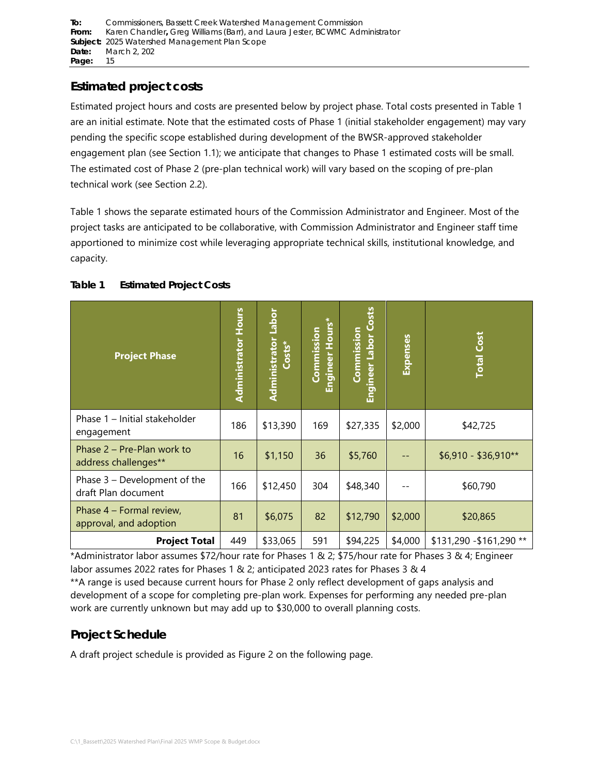# **Estimated project costs**

Estimated project hours and costs are presented below by project phase. Total costs presented in [Table 1](#page-14-0) are an initial estimate. Note that the estimated costs of Phase 1 (initial stakeholder engagement) may vary pending the specific scope established during development of the BWSR-approved stakeholder engagement plan (see Section [1.1\)](#page-3-2); we anticipate that changes to Phase 1 estimated costs will be small. The estimated cost of Phase 2 (pre-plan technical work) will vary based on the scoping of pre-plan technical work (see Section [2.2\)](#page-8-1).

[Table 1](#page-14-0) shows the separate estimated hours of the Commission Administrator and Engineer. Most of the project tasks are anticipated to be collaborative, with Commission Administrator and Engineer staff time apportioned to minimize cost while leveraging appropriate technical skills, institutional knowledge, and capacity.

| <b>Project Phase</b>                                | <b>Administrator Hours</b> | Labor<br>Administrator<br>$Costs^*$ | Hours*<br>Commission<br>Engineer | Engineer Labor Costs<br>Commission | <b>Expenses</b> | <b>Total Cost</b>        |  |  |
|-----------------------------------------------------|----------------------------|-------------------------------------|----------------------------------|------------------------------------|-----------------|--------------------------|--|--|
| Phase 1 - Initial stakeholder<br>engagement         | 186                        | \$13,390                            | 169                              | \$27,335                           | \$2,000         | \$42,725                 |  |  |
| Phase 2 – Pre-Plan work to<br>address challenges**  | 16                         | \$1,150                             | 36                               | \$5,760                            |                 | $$6,910 - $36,910**$     |  |  |
| Phase 3 - Development of the<br>draft Plan document | 166                        | \$12,450                            | 304                              | \$48,340                           |                 | \$60,790                 |  |  |
| Phase 4 – Formal review,<br>approval, and adoption  | 81                         | \$6,075                             | 82                               | \$12,790                           | \$2,000         | \$20,865                 |  |  |
| <b>Project Total</b>                                | 449                        | \$33,065                            | 591                              | \$94,225                           | \$4,000         | \$131,290 - \$161,290 ** |  |  |

### <span id="page-14-0"></span>**Table 1 Estimated Project Costs**

\*Administrator labor assumes \$72/hour rate for Phases 1 & 2; \$75/hour rate for Phases 3 & 4; Engineer labor assumes 2022 rates for Phases 1 & 2; anticipated 2023 rates for Phases 3 & 4 \*\*A range is used because current hours for Phase 2 only reflect development of gaps analysis and

development of a scope for completing pre-plan work. Expenses for performing any needed pre-plan work are currently unknown but may add up to \$30,000 to overall planning costs.

# **Project Schedule**

A draft project schedule is provided as [Figure 2](#page-15-0) on the following page.